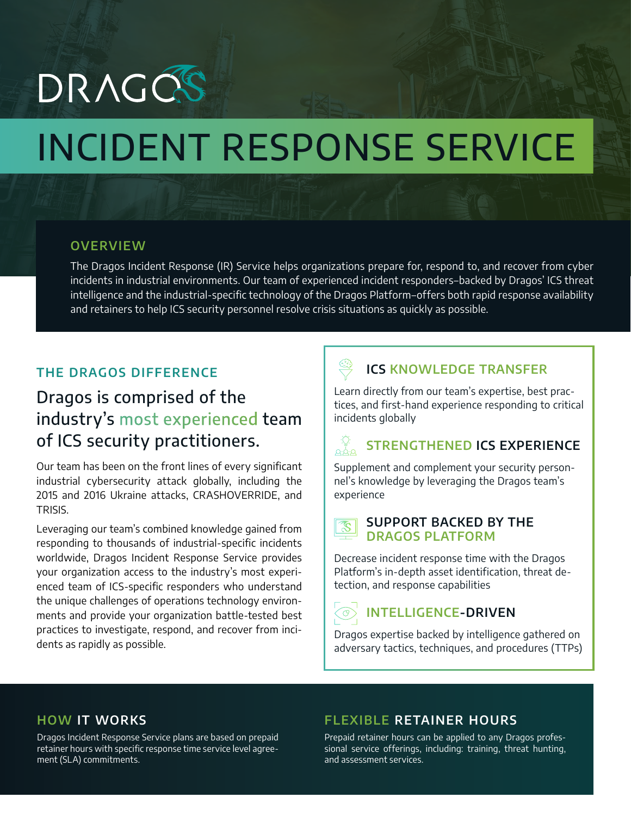# DRAGOS

# INCIDENT RESPONSE SERVICE

#### **OVERVIEW**

The Dragos Incident Response (IR) Service helps organizations prepare for, respond to, and recover from cyber incidents in industrial environments. Our team of experienced incident responders–backed by Dragos' ICS threat intelligence and the industrial-specific technology of the Dragos Platform–offers both rapid response availability and retainers to help ICS security personnel resolve crisis situations as quickly as possible.

#### **THE DRAGOS DIFFERENCE**

## Dragos is comprised of the industry's most experienced team of ICS security practitioners.

Our team has been on the front lines of every significant industrial cybersecurity attack globally, including the 2015 and 2016 Ukraine attacks, CRASHOVERRIDE, and TRISIS.

Leveraging our team's combined knowledge gained from responding to thousands of industrial-specific incidents worldwide, Dragos Incident Response Service provides your organization access to the industry's most experienced team of ICS-specific responders who understand the unique challenges of operations technology environments and provide your organization battle-tested best practices to investigate, respond, and recover from incidents as rapidly as possible.

### **ICS KNOWLEDGE TRANSFER**

Learn directly from our team's expertise, best practices, and first-hand experience responding to critical incidents globally

## **STRENGTHENED ICS EXPERIENCE**

Supplement and complement your security personnel's knowledge by leveraging the Dragos team's experience



#### **SUPPORT BACKED BY THE DRAGOS PLATFORM**

Decrease incident response time with the Dragos Platform's in-depth asset identification, threat detection, and response capabilities

### **INTELLIGENCE-DRIVEN**

Dragos expertise backed by intelligence gathered on adversary tactics, techniques, and procedures (TTPs)

#### **HOW IT WORKS**

Dragos Incident Response Service plans are based on prepaid retainer hours with specific response time service level agreement (SLA) commitments.

#### **FLEXIBLE RETAINER HOURS**

Prepaid retainer hours can be applied to any Dragos professional service offerings, including: training, threat hunting, and assessment services.